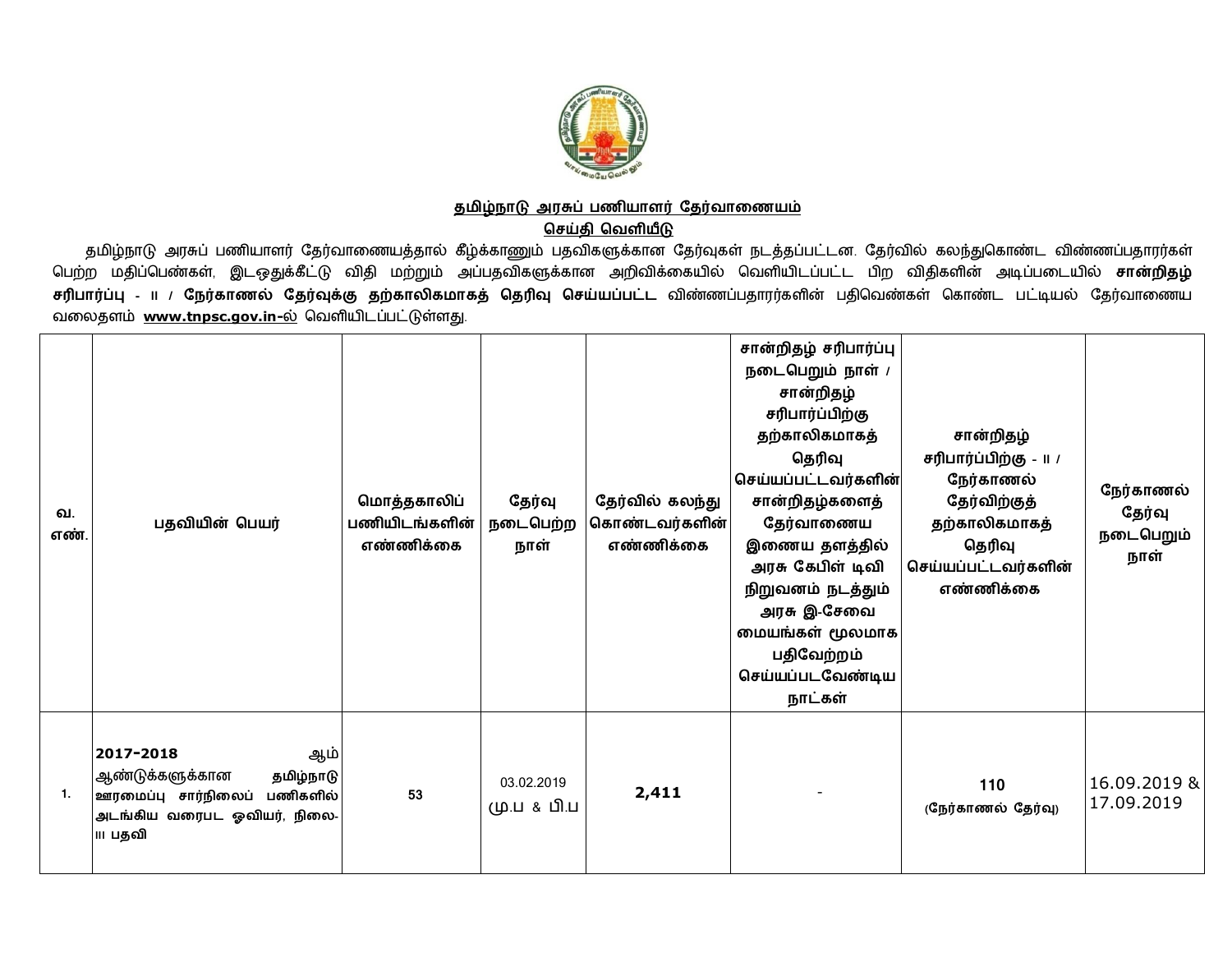

## <u>தமிழ்நாடு அரசுப் பணியாளர் தேர்வாணையம்</u>

**செய்தி வெளியீடு** 

தமிழ்நாடு அரசுப் பணியாளர் தேர்வாணையத்தால் கீழ்க்காணும் பதவிகளுக்கான தேர்வுகள் நடத்தப்பட்டன. தேர்வில் கலந்துகொண்ட விண்ணப்பதாரர்கள் பெற்ற மதிப்பெண்கள், இடஒதுக்கீட்டு விதி மற்றும் அப்பதவிகளுக்கான அறிவிக்கையில் வெளியிடப்பட்ட பிற விதிகளின் அடிப்படையில் **சான்றிதழ்** <mark>சரிபார்ப்பு - II / நேர்காணல் தேர்வுக்கு தற்காலிகமாகத் தெரிவு செய்யப்பட்ட விண்ணப்பதாரர்களின் பதிவெண்கள் கொண்ட பட்டியல் தேர்வாணைய</mark> வலைதளம் [www.tnpsc.gov.in-](http://www.tnpsc.gov.in-)ல் வெளியிடப்பட்டுள்ளது.

| வ.<br>எண். | பதவியின் பெயர்                                                                                                               | மொத்தகாலிப்<br>பணியிடங்களின்<br>எண்ணிக்கை | தேர்வு<br>நடைபெற்ற<br>நாள் | தேர்வில் கலந்து<br>கொண்டவர்களின்<br>எண்ணிக்கை | சான்றிதழ் சரிபார்ப்பு<br>நடைபெறும் நாள் /<br>சான்றிதழ்<br>சரிபார்ப்பிற்கு<br>தற்காலிகமாகத்<br>தெரிவு<br>கெய்யப்பட்டவர்களின் <br>சான்றிதழ்களைத்<br>தேர்வாணைய<br>இணைய தளத்தில்<br>அரசு கேபிள் டிவி<br>நிறுவனம் நடத்தும்<br>அரசு இ-சேவை<br>மையங்கள் மூலமாக<br>பதிவேற்றம்<br>செய்யப்படவேண்டிய<br>நாட்கள் | சான்றிதழ்<br>சரிபார்ப்பிற்கு - 11 /<br>நேர்காணல்<br>தேர்விற்குத்<br>தற்காலிகமாகத்<br>தெரிவு<br>செய்யப்பட்டவர்களின்<br>எண்ணிக்கை | நேர்காணல்<br>தேர்வு<br>நடைபெறும்<br>நாள் |
|------------|------------------------------------------------------------------------------------------------------------------------------|-------------------------------------------|----------------------------|-----------------------------------------------|------------------------------------------------------------------------------------------------------------------------------------------------------------------------------------------------------------------------------------------------------------------------------------------------------|---------------------------------------------------------------------------------------------------------------------------------|------------------------------------------|
| 1.         | 2017-2018<br>ஆம்<br>ஆண்டுக்களுக்கான<br>தமிழ்நாடு<br>ஊரமைப்பு சார்நிலைப்<br>பணிகளில்<br>அடங்கிய வரைபட ஓவியர், நிலை-<br>ா பதவி | 53                                        | 03.02.2019<br>மு.ப & பி.ப  | 2,411                                         |                                                                                                                                                                                                                                                                                                      | 110<br>(நேர்காணல் தேர்வு)                                                                                                       | 16.09.2019 &<br>17.09.2019               |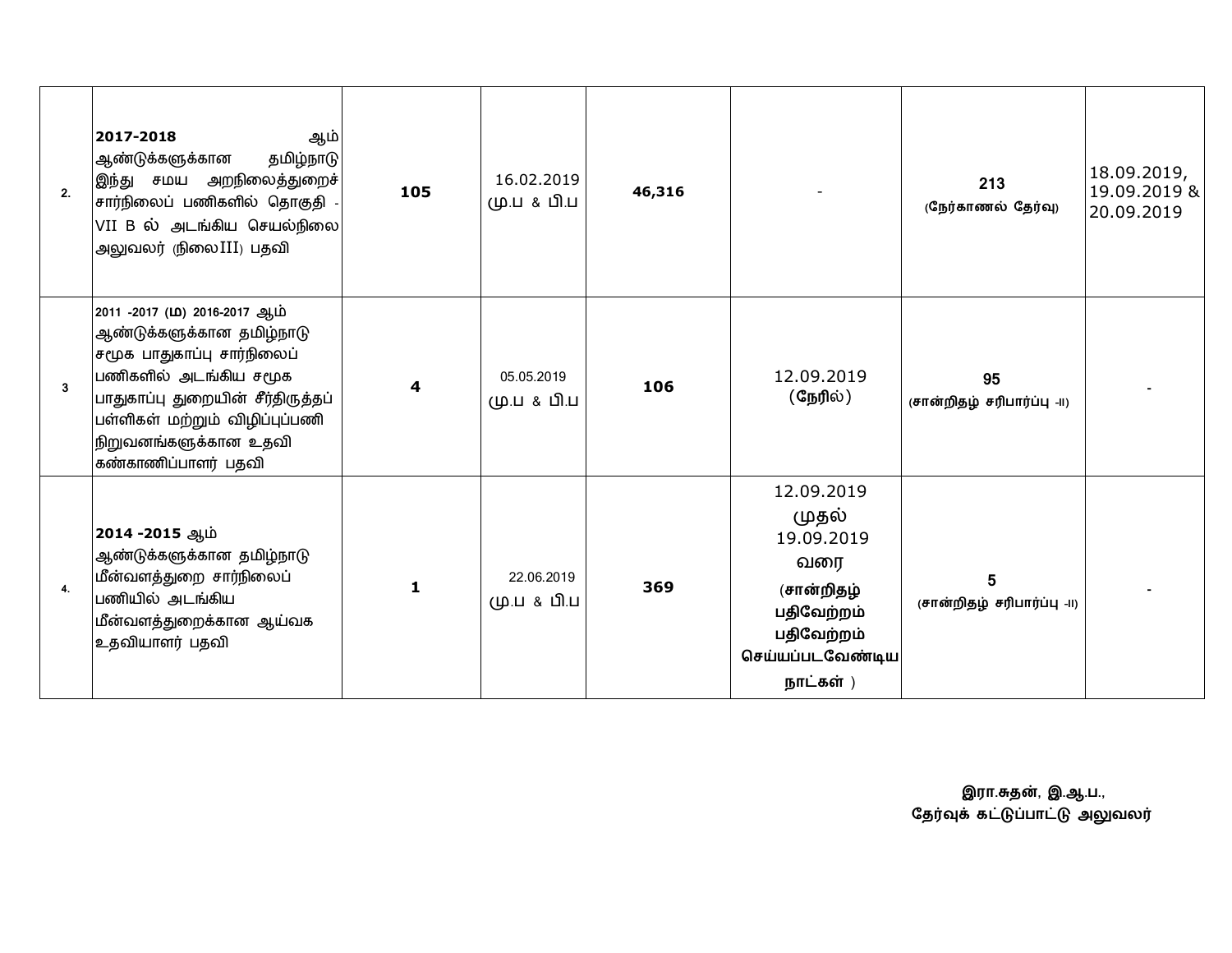| 2.                      | 2017-2018<br>ஆம்<br>தமிழ்நாடு<br>ஆண்டுக்களுக்கான<br>இந்து சமய அறநிலைத்துறைச்<br>சார்நிலைப் பணிகளில் தொகுதி<br>VII B ல் அடங்கிய செயல்நிலை<br>அலுவலர் (நிலை III) பதவி                                                                     | 105          | 16.02.2019<br>மு.ப & பி.ப | 46,316 |                                                                                                                     | 213<br>(நேர்காணல் தேர்வு)         | 18.09.2019,<br>19.09.2019 &<br>20.09.2019 |
|-------------------------|-----------------------------------------------------------------------------------------------------------------------------------------------------------------------------------------------------------------------------------------|--------------|---------------------------|--------|---------------------------------------------------------------------------------------------------------------------|-----------------------------------|-------------------------------------------|
| $\overline{\mathbf{3}}$ | 2011 -2017 (ம) 2016-2017 ஆம்<br>ஆண்டுக்களுக்கான தமிழ்நாடு<br>சமூக பாதுகாப்பு சார்நிலைப்<br>பணிகளில் அடங்கிய சமூக<br>பாதுகாப்பு துறையின் சீர்திருத்தப்<br>பள்ளிகள் மற்றும் விழிப்புப்பணி<br>நிறுவனங்களுக்கான உதவி<br>கண்காணிப்பாளர் பதவி | 4            | 05.05.2019<br>மு.ப & பி.ப | 106    | 12.09.2019<br>(நேரில்)                                                                                              | 95<br>(சான்றிதழ் சரிபார்ப்பு -II) |                                           |
| 4.                      | 2014 -2015 ஆம்<br>ஆண்டுக்களுக்கான தமிழ்நாடு<br>மீன்வளத்துறை சார்நிலைப்<br>பணியில் அடங்கிய<br>மீன்வளத்துறைக்கான ஆய்வக<br>உதவியாளர் பதவி                                                                                                  | $\mathbf{1}$ | 22.06.2019<br>மு.ப & பி.ப | 369    | 12.09.2019<br>(முதல்<br>19.09.2019<br>வரை<br>(சான்றிதழ்<br>பதிவேற்றம்<br>பதிவேற்றம்<br>செய்யப்படவேண்டிய<br>நாட்கள்) | 5.<br>(சான்றிதழ் சரிபார்ப்பு -II) |                                           |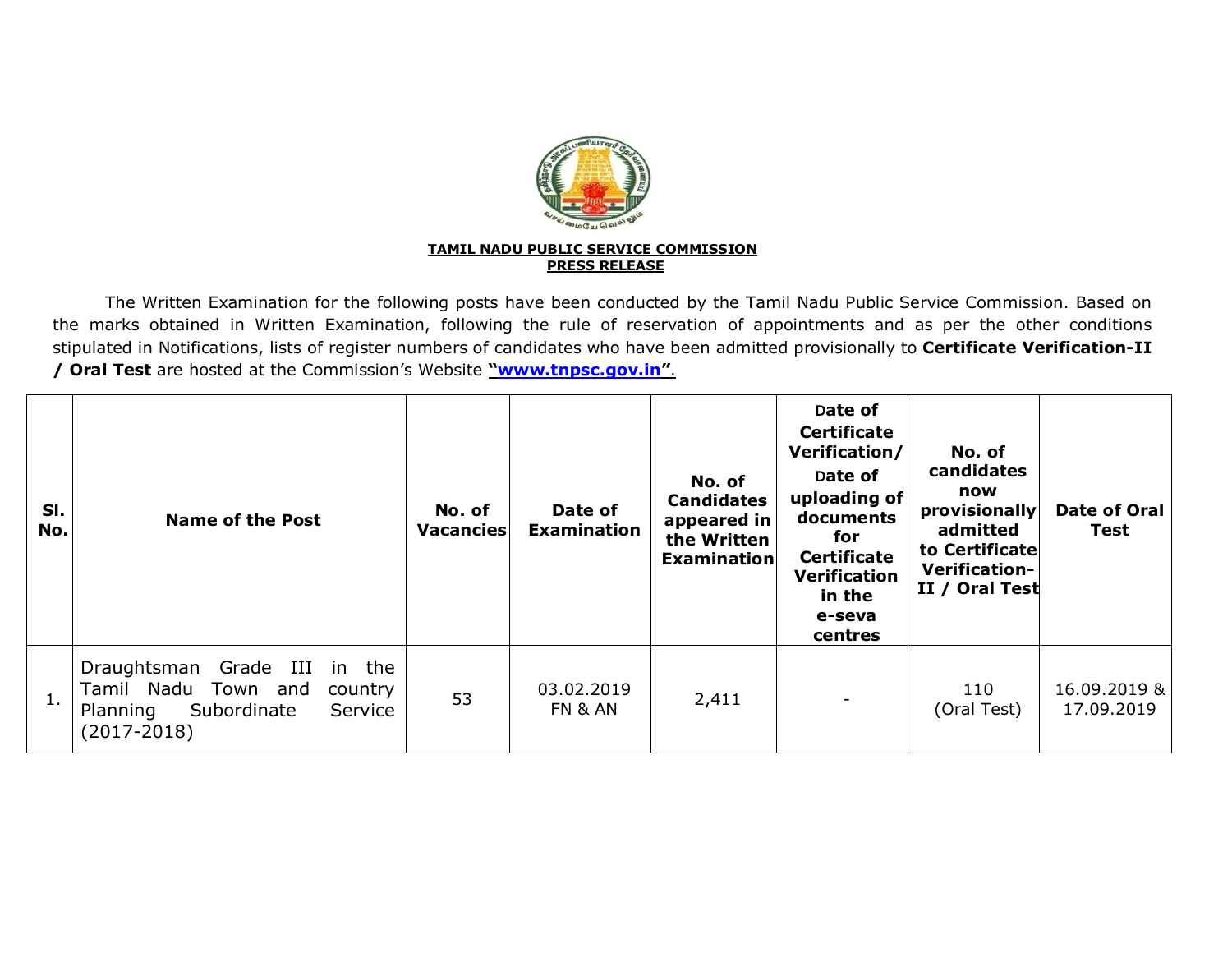

The Written Examination for the following posts have been conducted by the Tamil Nadu Public Service Commission. Based on the marks obtained in Written Examination, following the rule of reservation of appointments and as per the other conditions stipulated in Notifications, lists of register numbers of candidates who have been admitted provisionally to **Certificate Verification-II / Oral Test** are hosted at the Commission's Website **["www.tnpsc.gov.in](http://www.tnpsc.gov.in)"**.

| SI.<br>No. | <b>Name of the Post</b>                                                                                                 | No. of<br>Vacancies | Date of<br><b>Examination</b> | No. of<br><b>Candidates</b><br>appeared in<br>the Written<br>Examination | Date of<br><b>Certificate</b><br>Verification/<br>Date of<br>uploading of<br>documents<br>for<br><b>Certificate</b><br><b>Verification</b><br>in the<br>e-seva<br>centres | No. of<br>candidates<br>now<br>provisionally<br>admitted<br>to Certificate<br><b>Verification-</b><br>II / Oral Test | <b>Date of Oral</b><br><b>Test</b> |
|------------|-------------------------------------------------------------------------------------------------------------------------|---------------------|-------------------------------|--------------------------------------------------------------------------|---------------------------------------------------------------------------------------------------------------------------------------------------------------------------|----------------------------------------------------------------------------------------------------------------------|------------------------------------|
| 1.         | Draughtsman Grade III in the<br>Tamil Nadu Town and<br>country<br>Subordinate<br>Planning<br>Service<br>$(2017 - 2018)$ | 53                  | 03.02.2019<br>FN & AN         | 2,411                                                                    |                                                                                                                                                                           | 110<br>(Oral Test)                                                                                                   | 16.09.2019 &<br>17.09.2019         |